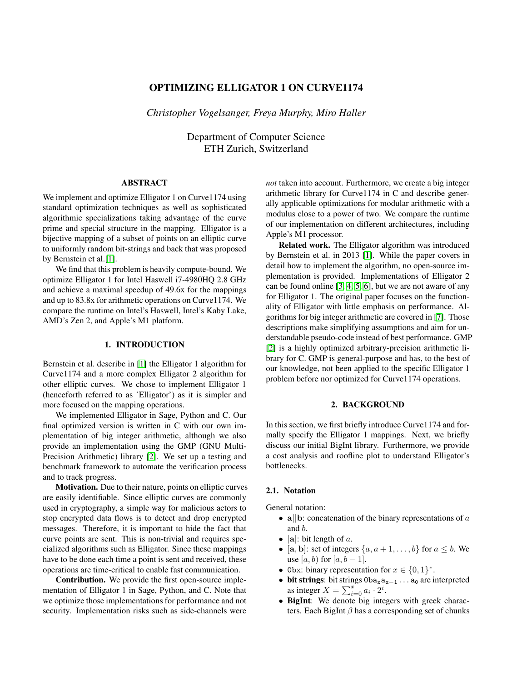# OPTIMIZING ELLIGATOR 1 ON CURVE1174

*Christopher Vogelsanger, Freya Murphy, Miro Haller*

Department of Computer Science ETH Zurich, Switzerland

# ABSTRACT

We implement and optimize Elligator 1 on Curve 1174 using standard optimization techniques as well as sophisticated algorithmic specializations taking advantage of the curve prime and special structure in the mapping. Elligator is a bijective mapping of a subset of points on an elliptic curve to uniformly random bit-strings and back that was proposed by Bernstein et al.[\[1\]](#page-8-0).

We find that this problem is heavily compute-bound. We optimize Elligator 1 for Intel Haswell i7-4980HQ 2.8 GHz and achieve a maximal speedup of 49.6x for the mappings and up to 83.8x for arithmetic operations on Curve1174. We compare the runtime on Intel's Haswell, Intel's Kaby Lake, AMD's Zen 2, and Apple's M1 platform.

# 1. INTRODUCTION

Bernstein et al. describe in [\[1\]](#page-8-0) the Elligator 1 algorithm for Curve1174 and a more complex Elligator 2 algorithm for other elliptic curves. We chose to implement Elligator 1 (henceforth referred to as 'Elligator') as it is simpler and more focused on the mapping operations.

We implemented Elligator in Sage, Python and C. Our final optimized version is written in C with our own implementation of big integer arithmetic, although we also provide an implementation using the GMP (GNU Multi-Precision Arithmetic) library [\[2\]](#page-8-1). We set up a testing and benchmark framework to automate the verification process and to track progress.

Motivation. Due to their nature, points on elliptic curves are easily identifiable. Since elliptic curves are commonly used in cryptography, a simple way for malicious actors to stop encrypted data flows is to detect and drop encrypted messages. Therefore, it is important to hide the fact that curve points are sent. This is non-trivial and requires specialized algorithms such as Elligator. Since these mappings have to be done each time a point is sent and received, these operations are time-critical to enable fast communication.

Contribution. We provide the first open-source implementation of Elligator 1 in Sage, Python, and C. Note that we optimize those implementations for performance and not security. Implementation risks such as side-channels were *not* taken into account. Furthermore, we create a big integer arithmetic library for Curve1174 in C and describe generally applicable optimizations for modular arithmetic with a modulus close to a power of two. We compare the runtime of our implementation on different architectures, including Apple's M1 processor.

Related work. The Elligator algorithm was introduced by Bernstein et al. in 2013 [\[1\]](#page-8-0). While the paper covers in detail how to implement the algorithm, no open-source implementation is provided. Implementations of Elligator 2 can be found online [\[3,](#page-8-2) [4,](#page-8-3) [5,](#page-8-4) [6\]](#page-8-5), but we are not aware of any for Elligator 1. The original paper focuses on the functionality of Elligator with little emphasis on performance. Algorithms for big integer arithmetic are covered in [\[7\]](#page-8-6). Those descriptions make simplifying assumptions and aim for understandable pseudo-code instead of best performance. GMP [\[2\]](#page-8-1) is a highly optimized arbitrary-precision arithmetic library for C. GMP is general-purpose and has, to the best of our knowledge, not been applied to the specific Elligator 1 problem before nor optimized for Curve1174 operations.

### 2. BACKGROUND

In this section, we first briefly introduce Curve1174 and formally specify the Elligator 1 mappings. Next, we briefly discuss our initial BigInt library. Furthermore, we provide a cost analysis and roofline plot to understand Elligator's bottlenecks.

# 2.1. Notation

General notation:

- a||b: concatenation of the binary representations of  $\alpha$ and b.
- $|a|$ : bit length of a.<br>•  $[a, b]$ : set of integer
- [a, b]: set of integers  $\{a, a+1, \ldots, b\}$  for  $a \leq b$ . We use [a, b) for [a, b - 1].
- Obx: binary representation for  $x \in \{0,1\}^*$ .
- bit strings: bit strings  $0ba_xa_{x-1} \ldots a_0$  are interpreted as integer  $X = \sum_{i=0}^{x} a_i \cdot 2^i$ .
- BigInt: We denote big integers with greek characters. Each BigInt  $\beta$  has a corresponding set of chunks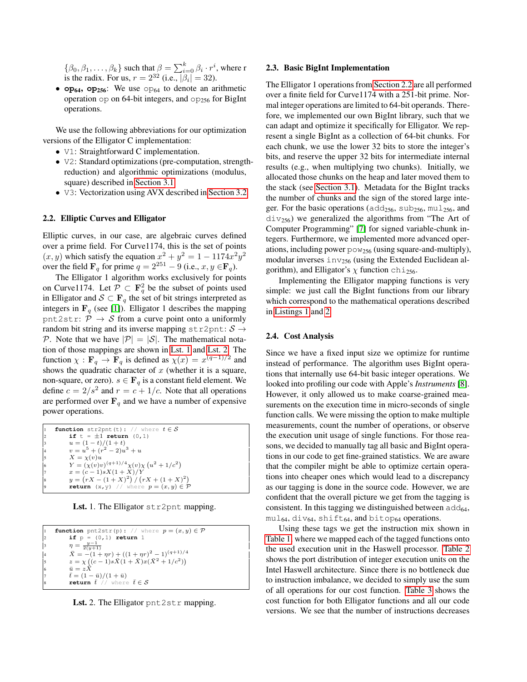$\{\beta_0, \beta_1, \dots, \beta_k\}$  such that  $\beta = \sum_{i=0}^k \beta_i \cdot r^i$ , where r is the radix. For us,  $r = 2^{32}$  (i.e.,  $|\beta_i| = 32$ ).

•  $op_{64}$ ,  $op_{256}$ : We use  $op_{64}$  to denote an arithmetic operation  $op$  on 64-bit integers, and  $op$ <sub>256</sub> for BigInt operations.

We use the following abbreviations for our optimization versions of the Elligator C implementation:

- V1: Straightforward C implementation.
- V2: Standard optimizations (pre-computation, strengthreduction) and algorithmic optimizations (modulus, square) described in [Section 3.1.](#page-3-0)
- V3: Vectorization using AVX described in [Section 3.2.](#page-4-0)

### <span id="page-1-2"></span>2.2. Elliptic Curves and Elligator

Elliptic curves, in our case, are algebraic curves defined over a prime field. For Curve1174, this is the set of points  $(x, y)$  which satisfy the equation  $x^2 + y^2 = 1 - 1174x^2y^2$ over the field  $\mathbf{F}_q$  for prime  $q = 2^{251} - 9$  (i.e.,  $x, y \in \mathbf{F}_q$ ).

The Elligator 1 algorithm works exclusively for points on Curve1174. Let  $\mathcal{P} \subset \mathbf{F}_q^2$  be the subset of points used in Elligator and  $S \subset \mathbf{F}_q$  the set of bit strings interpreted as integers in  $\mathbf{F}_q$  (see [\[1\]](#page-8-0)). Elligator 1 describes the mapping pnt2str:  $\mathcal{P} \rightarrow \mathcal{S}$  from a curve point onto a uniformly random bit string and its inverse mapping str2pnt:  $S \rightarrow$ P. Note that we have  $|\mathcal{P}| = |\mathcal{S}|$ . The mathematical notation of those mappings are shown in [Lst. 1](#page-1-0) and [Lst. 2.](#page-1-1) The function  $\chi : \mathbf{F}_q \to \mathbf{F}_q$  is defined as  $\chi(x) = x^{(q-1)/2}$  and shows the quadratic character of  $x$  (whether it is a square, non-square, or zero).  $s \in \mathbf{F}_q$  is a constant field element. We define  $c = 2/s^2$  and  $r = c + 1/c$ . Note that all operations are performed over  $\mathbf{F}_q$  and we have a number of expensive power operations.

<span id="page-1-0"></span>

|                      | <b>function</b> str2pnt(t): // where $t \in S$               |
|----------------------|--------------------------------------------------------------|
| $\vert$ <sub>2</sub> | if $t = \pm 1$ return $(0, 1)$                               |
| $\vert$ 3            | $u = (1-t)/(1+t)$                                            |
| 4                    | $v = u^5 + (r^2 - 2)u^3 + u$                                 |
| $\vert$ 5            | $X = \chi(v)u$                                               |
| 6                    | $Y = (\chi(v)v)^{(q+1)/4} \chi(v) \chi(u^2 + 1/c^2)$         |
| 17                   | $x = (c-1)sX(1+X)/Y$                                         |
| 8                    | $y = (rX - (1 + X)^2) / (rX + (1 + X)^2)$                    |
| 9                    | <b>return</b> $(x, y)$ // where $p = (x, y) \in \mathcal{P}$ |
|                      |                                                              |

Lst. 1. The Elligator str2pnt mapping.

<span id="page-1-1"></span>

| l1        | <b>function</b> pnt2str(p): // where $p = (x, y) \in \mathcal{P}$ |
|-----------|-------------------------------------------------------------------|
| $\vert$ 2 | if $p = (0, 1)$ return 1                                          |
| $\vert$ 3 | $\eta = \frac{y-1}{2(y+1)}$                                       |
| 4         | $X = -(1 + \eta r) + ((1 + \eta r)^2 - 1)^{(q+1)/4}$              |
| 5         | $z = \chi ((c-1)s\bar{X}(1+\bar{X})x(\bar{X}^2+1/c^2))$           |
| 6         | $\bar{u} = zX$                                                    |
| l7        | $\bar{t} = (1 - \bar{u})/(1 + \bar{u})$                           |
| l8        | return $\bar{t}$ // where $\bar{t} \in \mathcal{S}$               |

Lst. 2. The Elligator pnt2str mapping.

#### 2.3. Basic BigInt Implementation

The Elligator 1 operations from [Section 2.2](#page-1-2) are all performed over a finite field for Curve1174 with a 251-bit prime. Normal integer operations are limited to 64-bit operands. Therefore, we implemented our own BigInt library, such that we can adapt and optimize it specifically for Elligator. We represent a single BigInt as a collection of 64-bit chunks. For each chunk, we use the lower 32 bits to store the integer's bits, and reserve the upper 32 bits for intermediate internal results (e.g., when multiplying two chunks). Initially, we allocated those chunks on the heap and later moved them to the stack (see [Section 3.1\)](#page-3-0). Metadata for the BigInt tracks the number of chunks and the sign of the stored large integer. For the basic operations ( $\text{add}_{256}$ ,  $\text{sub}_{256}$ ,  $\text{mul}_{256}$ , and  $div_{256}$ ) we generalized the algorithms from "The Art of Computer Programming" [\[7\]](#page-8-6) for signed variable-chunk integers. Furthermore, we implemented more advanced operations, including power  $pow_{256}$  (using square-and-multiply), modular inverses  $inv_{256}$  (using the Extended Euclidean algorithm), and Elligator's  $\chi$  function chi<sub>256</sub>.

Implementing the Elligator mapping functions is very simple: we just call the BigInt functions from our library which correspond to the mathematical operations described in [Listings 1](#page-1-0) and [2.](#page-1-1)

# 2.4. Cost Analysis

Since we have a fixed input size we optimize for runtime instead of performance. The algorithm uses BigInt operations that internally use 64-bit basic integer operations. We looked into profiling our code with Apple's *Instruments* [\[8\]](#page-8-7). However, it only allowed us to make coarse-grained measurements on the execution time in micro-seconds of single function calls. We were missing the option to make multiple measurements, count the number of operations, or observe the execution unit usage of single functions. For those reasons, we decided to manually tag all basic and BigInt operations in our code to get fine-grained statistics. We are aware that the compiler might be able to optimize certain operations into cheaper ones which would lead to a discrepancy as our tagging is done in the source code. However, we are confident that the overall picture we get from the tagging is consistent. In this tagging we distinguished between  $add_{64}$ ,  $mu1_{64}$ , div<sub>64</sub>, shift<sub>64</sub>, and bitop<sub>64</sub> operations.

Using these tags we get the instruction mix shown in [Table 1,](#page-2-0) where we mapped each of the tagged functions onto the used execution unit in the Haswell processor. [Table 2](#page-2-1) shows the port distribution of integer execution units on the Intel Haswell architecture. Since there is no bottleneck due to instruction imbalance, we decided to simply use the sum of all operations for our cost function. [Table 3](#page-2-2) shows the cost function for both Elligator functions and all our code versions. We see that the number of instructions decreases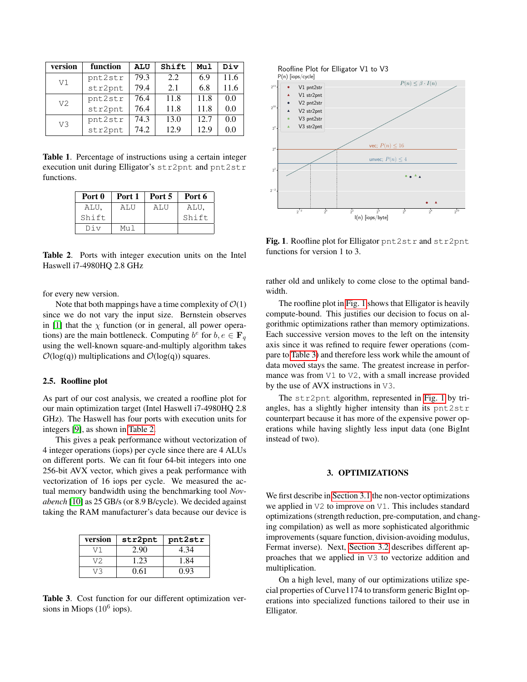| version        | function | <b>ALU</b> | Shift | Mul  | Div     |
|----------------|----------|------------|-------|------|---------|
| V1             | pnt2str  | 79.3       | 2.2   | 6.9  | 11.6    |
|                | str2pnt  | 79.4       | 2.1   | 6.8  | 11.6    |
| V <sub>2</sub> | pnt2str  | 76.4       | 11.8  | 11.8 | 0.0     |
|                | str2pnt  | 76.4       | 11.8  | 11.8 | 0.0     |
| V3             | pnt2str  | 74.3       | 13.0  | 12.7 | 0.0     |
|                | str2pnt  | 74.2       | 12.9  | 12.9 | $0.0\,$ |

<span id="page-2-0"></span>Table 1. Percentage of instructions using a certain integer execution unit during Elligator's str2pnt and pnt2str functions.

| Port 0 | Port 1 | Port 5 | Port 6 |
|--------|--------|--------|--------|
| ALU,   | ALU    | ALU    | ALU,   |
| Shift  |        |        | Shift  |
| Div    | M11 1  |        |        |

<span id="page-2-1"></span>Table 2. Ports with integer execution units on the Intel Haswell i7-4980HQ 2.8 GHz

for every new version.

Note that both mappings have a time complexity of  $\mathcal{O}(1)$ since we do not vary the input size. Bernstein observes in [\[1\]](#page-8-0) that the  $\chi$  function (or in general, all power operations) are the main bottleneck. Computing  $b^e$  for  $b, e \in \mathbf{F}_q$ using the well-known square-and-multiply algorithm takes  $\mathcal{O}(\log(q))$  multiplications and  $\mathcal{O}(\log(q))$  squares.

#### 2.5. Roofline plot

As part of our cost analysis, we created a roofline plot for our main optimization target (Intel Haswell i7-4980HQ 2.8 GHz). The Haswell has four ports with execution units for integers [\[9\]](#page-8-8), as shown in [Table 2.](#page-2-1)

This gives a peak performance without vectorization of 4 integer operations (iops) per cycle since there are 4 ALUs on different ports. We can fit four 64-bit integers into one 256-bit AVX vector, which gives a peak performance with vectorization of 16 iops per cycle. We measured the actual memory bandwidth using the benchmarking tool *Novabench* [\[10\]](#page-8-9) as 25 GB/s (or 8.9 B/cycle). We decided against taking the RAM manufacturer's data because our device is

| version | str2pnt | pnt2str |  |
|---------|---------|---------|--|
| V 1     | 2.90    | 4.34    |  |
| V2      | 1.23    | 1.84    |  |
| 73      | 0.61    | 0.93    |  |

<span id="page-2-2"></span>Table 3. Cost function for our different optimization versions in Miops  $(10^6 \text{ ions})$ .



<span id="page-2-3"></span>Fig. 1. Roofline plot for Elligator pnt2str and str2pnt functions for version 1 to 3.

rather old and unlikely to come close to the optimal bandwidth.

The roofline plot in [Fig. 1](#page-2-3) shows that Elligator is heavily compute-bound. This justifies our decision to focus on algorithmic optimizations rather than memory optimizations. Each successive version moves to the left on the intensity axis since it was refined to require fewer operations (compare to [Table 3\)](#page-2-2) and therefore less work while the amount of data moved stays the same. The greatest increase in performance was from V1 to V2, with a small increase provided by the use of AVX instructions in V3.

The str2pnt algorithm, represented in [Fig. 1](#page-2-3) by triangles, has a slightly higher intensity than its pnt2str counterpart because it has more of the expensive power operations while having slightly less input data (one BigInt instead of two).

# 3. OPTIMIZATIONS

We first describe in [Section 3.1](#page-3-0) the non-vector optimizations we applied in V2 to improve on V1. This includes standard optimizations (strength reduction, pre-computation, and changing compilation) as well as more sophisticated algorithmic improvements (square function, division-avoiding modulus, Fermat inverse). Next, [Section 3.2](#page-4-0) describes different approaches that we applied in V3 to vectorize addition and multiplication.

On a high level, many of our optimizations utilize special properties of Curve1174 to transform generic BigInt operations into specialized functions tailored to their use in Elligator.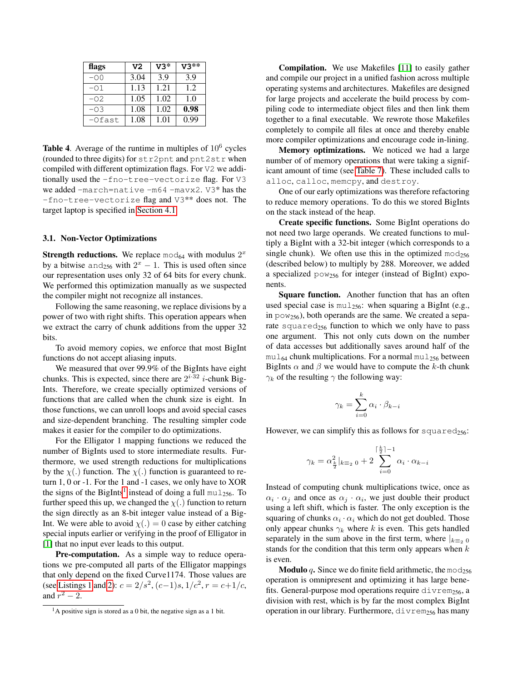| flags    | V <sub>2</sub> | $V3*$ | $V3**$ |
|----------|----------------|-------|--------|
| $-00$    | 3.04           | 3.9   | 3.9    |
| -01      | 1.13           | 1.21  | 1.2.   |
| -02      | 1.05           | 1.02  | 1.0    |
| $-0.3$   | 1.08           | 1.02  | 0.98   |
| $-Ofast$ | 1.08           | 1.01  | 0.99   |

<span id="page-3-2"></span>Table 4. Average of the runtime in multiples of  $10^6$  cycles (rounded to three digits) for str2pnt and pnt2str when compiled with different optimization flags. For V2 we additionally used the -fno-tree-vectorize flag. For V3 we added -march=native -m64 -mavx2. V3\* has the -fno-tree-vectorize flag and V3\*\* does not. The target laptop is specified in [Section 4.1.](#page-5-0)

#### <span id="page-3-0"></span>3.1. Non-Vector Optimizations

**Strength reductions.** We replace mod<sub>64</sub> with modulus  $2^x$ by a bitwise and<sub>256</sub> with  $2^x - 1$ . This is used often since our representation uses only 32 of 64 bits for every chunk. We performed this optimization manually as we suspected the compiler might not recognize all instances.

Following the same reasoning, we replace divisions by a power of two with right shifts. This operation appears when we extract the carry of chunk additions from the upper 32 bits.

To avoid memory copies, we enforce that most BigInt functions do not accept aliasing inputs.

We measured that over 99.9% of the BigInts have eight chunks. This is expected, since there are  $2^{i \cdot 32}$  *i*-chunk Big-Ints. Therefore, we create specially optimized versions of functions that are called when the chunk size is eight. In those functions, we can unroll loops and avoid special cases and size-dependent branching. The resulting simpler code makes it easier for the compiler to do optimizations.

For the Elligator 1 mapping functions we reduced the number of BigInts used to store intermediate results. Furthermore, we used strength reductions for multiplications by the  $\chi$ (.) function. The  $\chi$ (.) function is guaranteed to return 1, 0 or -1. For the 1 and -1 cases, we only have to XOR the signs of the BigInts<sup>[1](#page-3-1)</sup> instead of doing a full  $mul_{256}$ . To further speed this up, we changed the  $\chi(.)$  function to return the sign directly as an 8-bit integer value instead of a Big-Int. We were able to avoid  $\chi(.) = 0$  case by either catching special inputs earlier or verifying in the proof of Elligator in [\[1\]](#page-8-0) that no input ever leads to this output.

Pre-computation. As a simple way to reduce operations we pre-computed all parts of the Elligator mappings that only depend on the fixed Curve1174. Those values are (see [Listings 1](#page-1-0) and [2\)](#page-1-1):  $c = 2/s^2$ ,  $(c-1)s$ ,  $1/c^2$ ,  $r = c+1/c$ , and  $r^2 - 2$ .

Compilation. We use Makefiles [\[11\]](#page-8-10) to easily gather and compile our project in a unified fashion across multiple operating systems and architectures. Makefiles are designed for large projects and accelerate the build process by compiling code to intermediate object files and then link them together to a final executable. We rewrote those Makefiles completely to compile all files at once and thereby enable more compiler optimizations and encourage code in-lining.

Memory optimizations. We noticed we had a large number of of memory operations that were taking a significant amount of time (see [Table 7\)](#page-6-0). These included calls to alloc, calloc, memcpy, and destroy.

One of our early optimizations was therefore refactoring to reduce memory operations. To do this we stored BigInts on the stack instead of the heap.

Create specific functions. Some BigInt operations do not need two large operands. We created functions to multiply a BigInt with a 32-bit integer (which corresponds to a single chunk). We often use this in the optimized mod<sub>256</sub> (described below) to multiply by 288. Moreover, we added a specialized  $pow_{256}$  for integer (instead of BigInt) exponents.

Square function. Another function that has an often used special case is  $mu_{256}$ : when squaring a BigInt (e.g., in  $pow_{256}$ ), both operands are the same. We created a separate squared $_{256}$  function to which we only have to pass one argument. This not only cuts down on the number of data accesses but additionally saves around half of the  $mu_{64}$  chunk multiplications. For a normal mul<sub>256</sub> between BigInts  $\alpha$  and  $\beta$  we would have to compute the k-th chunk  $\gamma_k$  of the resulting  $\gamma$  the following way:

$$
\gamma_k = \sum_{i=0}^k \alpha_i \cdot \beta_{k-i}
$$

However, we can simplify this as follows for squared<sub>256</sub>:

$$
\gamma_k = \alpha_{\frac{k}{2}}^2|_{k \equiv_2 0} + 2 \sum_{i=0}^{\lceil \frac{k}{2} \rceil - 1} \alpha_i \cdot \alpha_{k-i}
$$

Instead of computing chunk multiplications twice, once as  $\alpha_i \cdot \alpha_j$  and once as  $\alpha_j \cdot \alpha_i$ , we just double their product using a left shift, which is faster. The only exception is the squaring of chunks  $\alpha_i \cdot \alpha_i$  which do not get doubled. Those only appear chunks  $\gamma_k$  where k is even. This gets handled separately in the sum above in the first term, where  $|_{k=2}$  0 stands for the condition that this term only appears when  $k$ is even.

**Modulo** q. Since we do finite field arithmetic, the mod<sub>256</sub> operation is omnipresent and optimizing it has large benefits. General-purpose mod operations require divrem<sub>256</sub>, a division with rest, which is by far the most complex BigInt operation in our library. Furthermore,  $div$  rem<sub>256</sub> has many

<span id="page-3-1"></span> $1A$  positive sign is stored as a 0 bit, the negative sign as a 1 bit.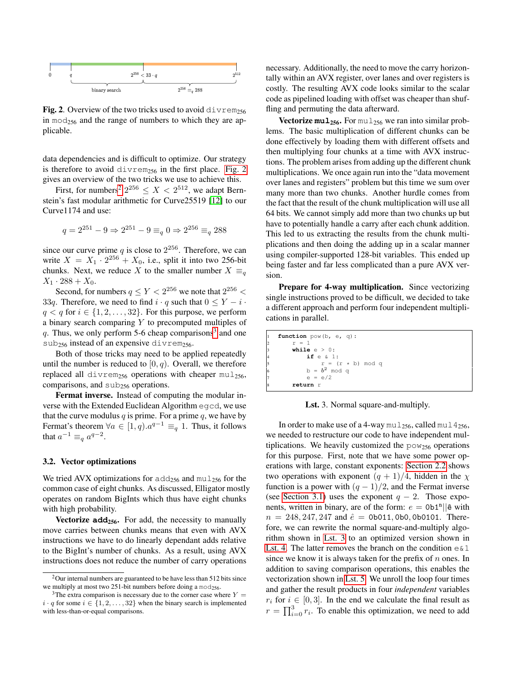

<span id="page-4-1"></span>**Fig. 2.** Overview of the two tricks used to avoid divrem<sub>256</sub> in  $mod_{256}$  and the range of numbers to which they are applicable.

data dependencies and is difficult to optimize. Our strategy is therefore to avoid  $divrem<sub>256</sub>$  in the first place. [Fig. 2](#page-4-1) gives an overview of the two tricks we use to achieve this.

First, for numbers<sup>[2](#page-4-2)</sup>  $2^{256} \le X < 2^{512}$ , we adapt Bernstein's fast modular arithmetic for Curve25519 [\[12\]](#page-8-11) to our Curve1174 and use:

$$
q = 2^{251} - 9 \Rightarrow 2^{251} - 9 \equiv_q 0 \Rightarrow 2^{256} \equiv_q 288
$$

since our curve prime q is close to  $2^{256}$ . Therefore, we can write  $X = X_1 \cdot 2^{256} + X_0$ , i.e., split it into two 256-bit chunks. Next, we reduce X to the smaller number  $X \equiv_a$  $X_1 \cdot 288 + X_0$ .

Second, for numbers  $q \le Y < 2^{256}$  we note that  $2^{256}$  < 33q. Therefore, we need to find  $i \cdot q$  such that  $0 \le Y - i \cdot$  $q < q$  for  $i \in \{1, 2, \ldots, 32\}$ . For this purpose, we perform a binary search comparing  $Y$  to precomputed multiples of q. Thus, we only perform 5-6 cheap comparisons<sup>[3](#page-4-3)</sup> and one sub<sub>256</sub> instead of an expensive divrem<sub>256</sub>.

Both of those tricks may need to be applied repeatedly until the number is reduced to  $[0, q)$ . Overall, we therefore replaced all divrem<sub>256</sub> operations with cheaper mul<sub>256</sub>, comparisons, and  $sub_{256}$  operations.

Fermat inverse. Instead of computing the modular inverse with the Extended Euclidean Algorithm egcd, we use that the curve modulus q is prime. For a prime q, we have by Fermat's theorem  $\forall a \in [1, q) \ldotp a^{q-1} \equiv_q 1$ . Thus, it follows that  $a^{-1} \equiv_q a^{q-2}$ .

### <span id="page-4-0"></span>3.2. Vector optimizations

We tried AVX optimizations for  $add_{256}$  and  $mul_{256}$  for the common case of eight chunks. As discussed, Elligator mostly operates on random BigInts which thus have eight chunks with high probability.

**Vectorize add**<sub>256</sub>. For add, the necessity to manually move carries between chunks means that even with AVX instructions we have to do linearly dependant adds relative to the BigInt's number of chunks. As a result, using AVX instructions does not reduce the number of carry operations necessary. Additionally, the need to move the carry horizontally within an AVX register, over lanes and over registers is costly. The resulting AVX code looks similar to the scalar code as pipelined loading with offset was cheaper than shuffling and permuting the data afterward.

**Vectorize mul<sub>256</sub>.** For mul<sub>256</sub> we ran into similar problems. The basic multiplication of different chunks can be done effectively by loading them with different offsets and then multiplying four chunks at a time with AVX instructions. The problem arises from adding up the different chunk multiplications. We once again run into the "data movement over lanes and registers" problem but this time we sum over many more than two chunks. Another hurdle comes from the fact that the result of the chunk multiplication will use all 64 bits. We cannot simply add more than two chunks up but have to potentially handle a carry after each chunk addition. This led to us extracting the results from the chunk multiplications and then doing the adding up in a scalar manner using compiler-supported 128-bit variables. This ended up being faster and far less complicated than a pure AVX version.

Prepare for 4-way multiplication. Since vectorizing single instructions proved to be difficult, we decided to take a different approach and perform four independent multiplications in parallel.

<span id="page-4-4"></span>

| 1              | function $pow(b, e, q)$ : |
|----------------|---------------------------|
| $\mathcal{L}$  | $r = 1$                   |
| $\overline{3}$ | while $e > 0$ :           |
| 4              | $if e \& 1:$              |
| 5              | $r = (r * b) \mod q$      |
| 6              | $b = b^2$ mod q           |
| 7              | $e = e/2$                 |
| 8              | return r                  |

Lst. 3. Normal square-and-multiply.

In order to make use of a 4-way mul<sub>256</sub>, called mul  $4_{256}$ , we needed to restructure our code to have independent multiplications. We heavily customized the  $pow_{256}$  operations for this purpose. First, note that we have some power operations with large, constant exponents: [Section 2.2](#page-1-2) shows two operations with exponent  $(q + 1)/4$ , hidden in the  $\chi$ function is a power with  $(q - 1)/2$ , and the Fermat inverse (see [Section 3.1\)](#page-3-0) uses the exponent  $q - 2$ . Those exponents, written in binary, are of the form:  $e = \text{Ob}1^{n}||\hat{e}$  with  $n = 248, 247, 247$  and  $\hat{e} = 0$ b011, 0b0, 0b0101. Therefore, we can rewrite the normal square-and-multiply algorithm shown in [Lst. 3](#page-4-4) to an optimized version shown in [Lst. 4.](#page-5-1) The latter removes the branch on the condition  $e \& 1$ since we know it is always taken for the prefix of  $n$  ones. In addition to saving comparison operations, this enables the vectorization shown in [Lst. 5.](#page-5-2) We unroll the loop four times and gather the result products in four *independent* variables  $r_i$  for  $i \in [0, 3]$ . In the end we calculate the final result as  $r = \prod_{i=0}^{3} r_i$ . To enable this optimization, we need to add

<span id="page-4-2"></span> $2$ Our internal numbers are guaranteed to be have less than 512 bits since we multiply at most two 251-bit numbers before doing a  $mod_{256}$ .

<span id="page-4-3"></span><sup>&</sup>lt;sup>3</sup>The extra comparison is necessary due to the corner case where  $Y =$  $i \cdot q$  for some  $i \in \{1, 2, \ldots, 32\}$  when the binary search is implemented with less-than-or-equal comparisons.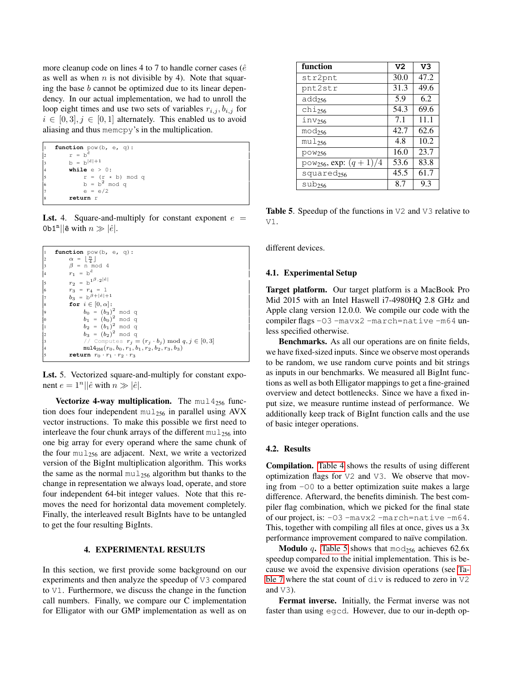more cleanup code on lines 4 to 7 to handle corner cases ( $\hat{e}$ as well as when  $n$  is not divisible by 4). Note that squaring the base  $b$  cannot be optimized due to its linear dependency. In our actual implementation, we had to unroll the loop eight times and use two sets of variables  $r_{i,j}$ ,  $b_{i,j}$  for  $i \in [0,3], j \in [0,1]$  alternately. This enabled us to avoid aliasing and thus memcpy's in the multiplication.

```
function pow(b, e, q):
        r = b^{\hat{e}}b = b^{|\hat{e}|+1}4 while e > 0:
5 r = (r * b) \mod q<br>6 b = b^2 \mod qe = e/28 return r
```
**Lst.** 4. Square-and-multiply for constant exponent  $e =$ 0b1<sup>n</sup>||ê with  $n \gg |\hat{e}|$ .

```
function pow(b, e, q) :
2 \alpha = \left[\frac{n}{4}\right]<br>3 \beta = n \mod 4r_1 = \mathbf{b}^{\hat{e}}5 r_2 = b^{1^{\beta} \cdot 2^{|\hat{e}|}}6 r_3 = r_4 = 1<br>
b_3 = b^{\beta + |\hat{e}| + 1}for i \in [0, \alpha]:
9 b_0 = (b_3)^2 \mod qb_1 = (b_0)^2 \mod qb_2 = (b_1)^2 \mod qb_3 = (b_2)^2 \mod qComputes r_j = (r_j \cdot b_j) \text{ mod } q, j \in [0, 3]\texttt{mul4}_{256}(r_0, b_0, r_1, b_1, r_2, b_2, r_3, b_3)return r_0 \cdot r_1 \cdot r_2 \cdot r_3
```
Lst. 5. Vectorized square-and-multiply for constant exponent  $e = 1^n ||\hat{e}$  with  $n \gg |\hat{e}|$ .

Vectorize 4-way multiplication. The  $mul14_{256}$  function does four independent  $mul_{256}$  in parallel using AVX vector instructions. To make this possible we first need to interleave the four chunk arrays of the different  $mu_{256}$  into one big array for every operand where the same chunk of the four  $mu_{256}$  are adjacent. Next, we write a vectorized version of the BigInt multiplication algorithm. This works the same as the normal  $mu_2_{56}$  algorithm but thanks to the change in representation we always load, operate, and store four independent 64-bit integer values. Note that this removes the need for horizontal data movement completely. Finally, the interleaved result BigInts have to be untangled to get the four resulting BigInts.

# 4. EXPERIMENTAL RESULTS

In this section, we first provide some background on our experiments and then analyze the speedup of V3 compared to V1. Furthermore, we discuss the change in the function call numbers. Finally, we compare our C implementation for Elligator with our GMP implementation as well as on

| function                            | V2   | V <sub>3</sub> |
|-------------------------------------|------|----------------|
| str2pnt                             | 30.0 | 47.2           |
| pnt2str                             | 31.3 | 49.6           |
| $add_{256}$                         | 5.9  | 6.2            |
| $chi_{256}$                         | 54.3 | 69.6           |
| $inv_{256}$                         | 7.1  | 11.1           |
| $mod_{256}$                         | 42.7 | 62.6           |
| $mu1_{256}$                         | 4.8  | 10.2           |
| $pow_{256}$                         | 16.0 | 23.7           |
| pow <sub>256</sub> , exp: $(q+1)/4$ | 53.6 | 83.8           |
| squared <sub>256</sub>              | 45.5 | 61.7           |
| $sub_{256}$                         | 8.7  | 9.3            |

<span id="page-5-3"></span>Table 5. Speedup of the functions in V2 and V3 relative to V1.

different devices.

#### <span id="page-5-0"></span>4.1. Experimental Setup

Target platform. Our target platform is a MacBook Pro Mid 2015 with an Intel Haswell i7-4980HQ 2.8 GHz and Apple clang version 12.0.0. We compile our code with the compiler flags -03 -mavx2 -march=native -m64 unless specified otherwise.

Benchmarks. As all our operations are on finite fields, we have fixed-sized inputs. Since we observe most operands to be random, we use random curve points and bit strings as inputs in our benchmarks. We measured all BigInt functions as well as both Elligator mappings to get a fine-grained overview and detect bottlenecks. Since we have a fixed input size, we measure runtime instead of performance. We additionally keep track of BigInt function calls and the use of basic integer operations.

# 4.2. Results

Compilation. [Table 4](#page-3-2) shows the results of using different optimization flags for V2 and V3. We observe that moving from -O0 to a better optimization suite makes a large difference. Afterward, the benefits diminish. The best compiler flag combination, which we picked for the final state of our project, is: -O3 -mavx2 -march=native -m64. This, together with compiling all files at once, gives us a 3x performance improvement compared to naïve compilation.

**Modulo** q. [Table 5](#page-5-3) shows that mod<sub>256</sub> achieves 62.6x speedup compared to the initial implementation. This is because we avoid the expensive division operations (see [Ta](#page-6-0)[ble 7](#page-6-0) where the stat count of div is reduced to zero in  $\nabla$ 2 and  $\nabla$ 3).

Fermat inverse. Initially, the Fermat inverse was not faster than using egcd. However, due to our in-depth op-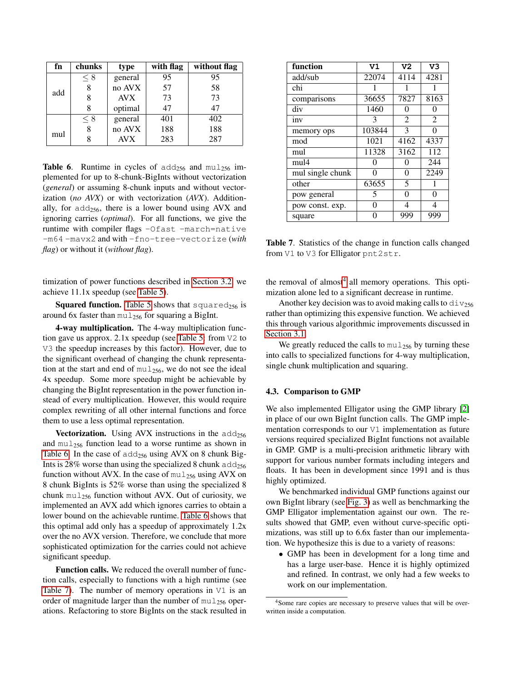| fn  | chunks              | type       | with flag | without flag |
|-----|---------------------|------------|-----------|--------------|
|     | general<br>$\leq 8$ |            | 95        | 95           |
| add | 8                   | no AVX     | 57        | 58           |
|     | 8                   | <b>AVX</b> | 73        | 73           |
|     | 8                   | optimal    | 47        | 47           |
|     | $\leq 8$            | general    | 401       | 402          |
| mul | 8                   | no AVX     | 188       | 188          |
|     | 8                   | <b>AVX</b> | 283       | 287          |

<span id="page-6-1"></span>**Table 6.** Runtime in cycles of  $\text{add}_{256}$  and  $\text{mul}_{256}$  implemented for up to 8-chunk-BigInts without vectorization (*general*) or assuming 8-chunk inputs and without vectorization (*no AVX*) or with vectorization (*AVX*). Additionally, for  $add_{256}$ , there is a lower bound using AVX and ignoring carries (*optimal*). For all functions, we give the runtime with compiler flags -Ofast -march=native -m64 -mavx2 and with -fno-tree-vectorize (*with flag*) or without it (*without flag*).

timization of power functions described in [Section 3.2,](#page-4-0) we achieve 11.1x speedup (see [Table 5\)](#page-5-3).

**Squared function.** [Table 5](#page-5-3) shows that squared<sub>256</sub> is around 6x faster than  $mu_{256}$  for squaring a BigInt.

4-way multiplication. The 4-way multiplication function gave us approx. 2.1x speedup (see [Table 5:](#page-5-3) from V2 to V3 the speedup increases by this factor). However, due to the significant overhead of changing the chunk representation at the start and end of  $mul_{256}$ , we do not see the ideal 4x speedup. Some more speedup might be achievable by changing the BigInt representation in the power function instead of every multiplication. However, this would require complex rewriting of all other internal functions and force them to use a less optimal representation.

**Vectorization.** Using AVX instructions in the  $\text{add}_{256}$ and  $mu_{256}$  function lead to a worse runtime as shown in [Table 6.](#page-6-1) In the case of  $add_{256}$  using AVX on 8 chunk Big-Ints is 28% worse than using the specialized 8 chunk  $add_{256}$ function without AVX. In the case of  $mul_{256}$  using AVX on 8 chunk BigInts is 52% worse than using the specialized 8 chunk mu $l_{256}$  function without AVX. Out of curiosity, we implemented an AVX add which ignores carries to obtain a lower bound on the achievable runtime. [Table 6](#page-6-1) shows that this optimal add only has a speedup of approximately 1.2x over the no AVX version. Therefore, we conclude that more sophisticated optimization for the carries could not achieve significant speedup.

Function calls. We reduced the overall number of function calls, especially to functions with a high runtime (see [Table 7\)](#page-6-0). The number of memory operations in  $V1$  is an order of magnitude larger than the number of  $mu1_{256}$  operations. Refactoring to store BigInts on the stack resulted in

| function         | V1     | V <sub>2</sub> | V <sub>3</sub> |
|------------------|--------|----------------|----------------|
| add/sub          | 22074  | 4114           | 4281           |
| chi              | 1      | 1              | 1              |
| comparisons      | 36655  | 7827           | 8163           |
| div              | 1460   | 0              | 0              |
| inv              | 3      | 2              | $\overline{2}$ |
| memory ops       | 103844 | 3              | 0              |
| mod              | 1021   | 4162           | 4337           |
| mul              | 11328  | 3162           | 112            |
| mul4             | 0      | 0              | 244            |
| mul single chunk | 0      | 0              | 2249           |
| other            | 63655  | 5              | 1              |
| pow general      | 5      | 0              | 0              |
| pow const. exp.  | 0      | 4              | 4              |
| square           |        | 999            | 999            |

<span id="page-6-0"></span>Table 7. Statistics of the change in function calls changed from V1 to V3 for Elligator pnt2str.

the removal of almost<sup>[4](#page-6-2)</sup> all memory operations. This optimization alone led to a significant decrease in runtime.

Another key decision was to avoid making calls to  $div_{256}$ rather than optimizing this expensive function. We achieved this through various algorithmic improvements discussed in [Section 3.1.](#page-3-2)

We greatly reduced the calls to  $mu_{256}$  by turning these into calls to specialized functions for 4-way multiplication, single chunk multiplication and squaring.

### 4.3. Comparison to GMP

We also implemented Elligator using the GMP library [\[2\]](#page-8-1) in place of our own BigInt function calls. The GMP implementation corresponds to our V1 implementation as future versions required specialized BigInt functions not available in GMP. GMP is a multi-precision arithmetic library with support for various number formats including integers and floats. It has been in development since 1991 and is thus highly optimized.

We benchmarked individual GMP functions against our own BigInt library (see [Fig. 3\)](#page-7-0) as well as benchmarking the GMP Elligator implementation against our own. The results showed that GMP, even without curve-specific optimizations, was still up to 6.6x faster than our implementation. We hypothesize this is due to a variety of reasons:

• GMP has been in development for a long time and has a large user-base. Hence it is highly optimized and refined. In contrast, we only had a few weeks to work on our implementation.

<span id="page-6-2"></span><sup>4</sup>Some rare copies are necessary to preserve values that will be overwritten inside a computation.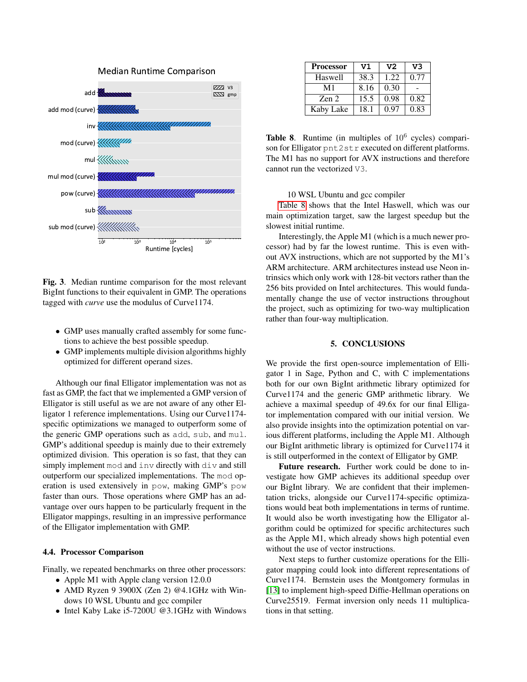

<span id="page-7-0"></span>Fig. 3. Median runtime comparison for the most relevant BigInt functions to their equivalent in GMP. The operations tagged with *curve* use the modulus of Curve1174.

- GMP uses manually crafted assembly for some functions to achieve the best possible speedup.
- GMP implements multiple division algorithms highly optimized for different operand sizes.

Although our final Elligator implementation was not as fast as GMP, the fact that we implemented a GMP version of Elligator is still useful as we are not aware of any other Elligator 1 reference implementations. Using our Curve1174 specific optimizations we managed to outperform some of the generic GMP operations such as add, sub, and mul. GMP's additional speedup is mainly due to their extremely optimized division. This operation is so fast, that they can simply implement mod and inv directly with div and still outperform our specialized implementations. The mod operation is used extensively in pow, making GMP's pow faster than ours. Those operations where GMP has an advantage over ours happen to be particularly frequent in the Elligator mappings, resulting in an impressive performance of the Elligator implementation with GMP.

### 4.4. Processor Comparison

Finally, we repeated benchmarks on three other processors:

- Apple M1 with Apple clang version 12.0.0
- AMD Ryzen 9 3900X (Zen 2) @4.1GHz with Windows 10 WSL Ubuntu and gcc compiler
- Intel Kaby Lake i5-7200U @3.1GHz with Windows

| <b>Processor</b> | V1   | V <sub>2</sub> | V3   |
|------------------|------|----------------|------|
| Haswell          | 38.3 | 1.22           | 0.77 |
| M1               | 8.16 | 0.30           |      |
| Zen 2            | 15.5 | 0.98           | 0.82 |
| Kaby Lake        | 18.1 | 0.97           | 0.83 |

<span id="page-7-1"></span>Table 8. Runtime (in multiples of  $10^6$  cycles) comparison for Elligator pnt2str executed on different platforms. The M1 has no support for AVX instructions and therefore cannot run the vectorized V3.

10 WSL Ubuntu and gcc compiler

[Table 8](#page-7-1) shows that the Intel Haswell, which was our main optimization target, saw the largest speedup but the slowest initial runtime.

Interestingly, the Apple M1 (which is a much newer processor) had by far the lowest runtime. This is even without AVX instructions, which are not supported by the M1's ARM architecture. ARM architectures instead use Neon intrinsics which only work with 128-bit vectors rather than the 256 bits provided on Intel architectures. This would fundamentally change the use of vector instructions throughout the project, such as optimizing for two-way multiplication rather than four-way multiplication.

# 5. CONCLUSIONS

We provide the first open-source implementation of Elligator 1 in Sage, Python and C, with C implementations both for our own BigInt arithmetic library optimized for Curve1174 and the generic GMP arithmetic library. We achieve a maximal speedup of 49.6x for our final Elligator implementation compared with our initial version. We also provide insights into the optimization potential on various different platforms, including the Apple M1. Although our BigInt arithmetic library is optimized for Curve1174 it is still outperformed in the context of Elligator by GMP.

Future research. Further work could be done to investigate how GMP achieves its additional speedup over our BigInt library. We are confident that their implementation tricks, alongside our Curve1174-specific optimizations would beat both implementations in terms of runtime. It would also be worth investigating how the Elligator algorithm could be optimized for specific architectures such as the Apple M1, which already shows high potential even without the use of vector instructions.

Next steps to further customize operations for the Elligator mapping could look into different representations of Curve1174. Bernstein uses the Montgomery formulas in [\[13\]](#page-8-12) to implement high-speed Diffie-Hellman operations on Curve25519. Fermat inversion only needs 11 multiplications in that setting.